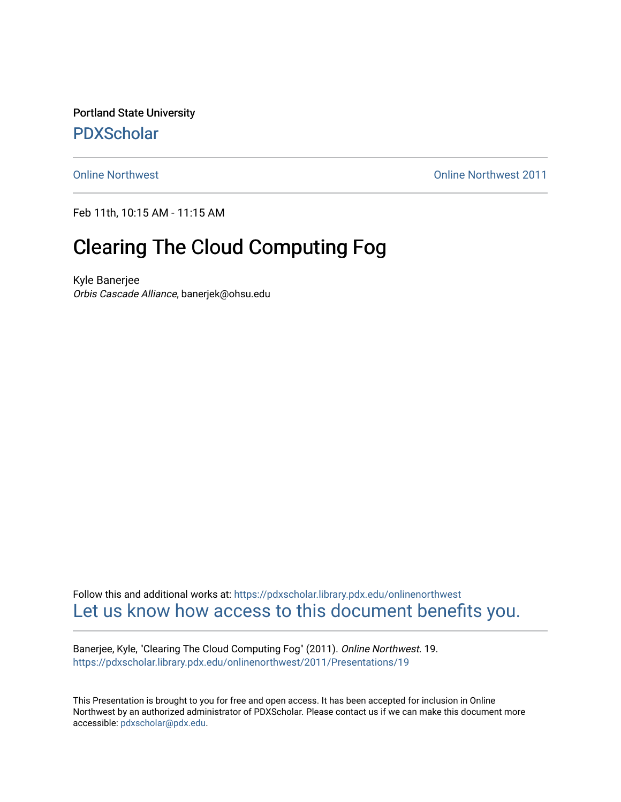Portland State University [PDXScholar](https://pdxscholar.library.pdx.edu/)

[Online Northwest](https://pdxscholar.library.pdx.edu/onlinenorthwest) [Online Northwest 2011](https://pdxscholar.library.pdx.edu/onlinenorthwest/2011) 

Feb 11th, 10:15 AM - 11:15 AM

#### Clearing The Cloud Computing Fog

Kyle Banerjee Orbis Cascade Alliance, banerjek@ohsu.edu

Follow this and additional works at: [https://pdxscholar.library.pdx.edu/onlinenorthwest](https://pdxscholar.library.pdx.edu/onlinenorthwest?utm_source=pdxscholar.library.pdx.edu%2Fonlinenorthwest%2F2011%2FPresentations%2F19&utm_medium=PDF&utm_campaign=PDFCoverPages)  [Let us know how access to this document benefits you.](http://library.pdx.edu/services/pdxscholar-services/pdxscholar-feedback/) 

Banerjee, Kyle, "Clearing The Cloud Computing Fog" (2011). Online Northwest. 19. [https://pdxscholar.library.pdx.edu/onlinenorthwest/2011/Presentations/19](https://pdxscholar.library.pdx.edu/onlinenorthwest/2011/Presentations/19?utm_source=pdxscholar.library.pdx.edu%2Fonlinenorthwest%2F2011%2FPresentations%2F19&utm_medium=PDF&utm_campaign=PDFCoverPages) 

This Presentation is brought to you for free and open access. It has been accepted for inclusion in Online Northwest by an authorized administrator of PDXScholar. Please contact us if we can make this document more accessible: [pdxscholar@pdx.edu.](mailto:pdxscholar@pdx.edu)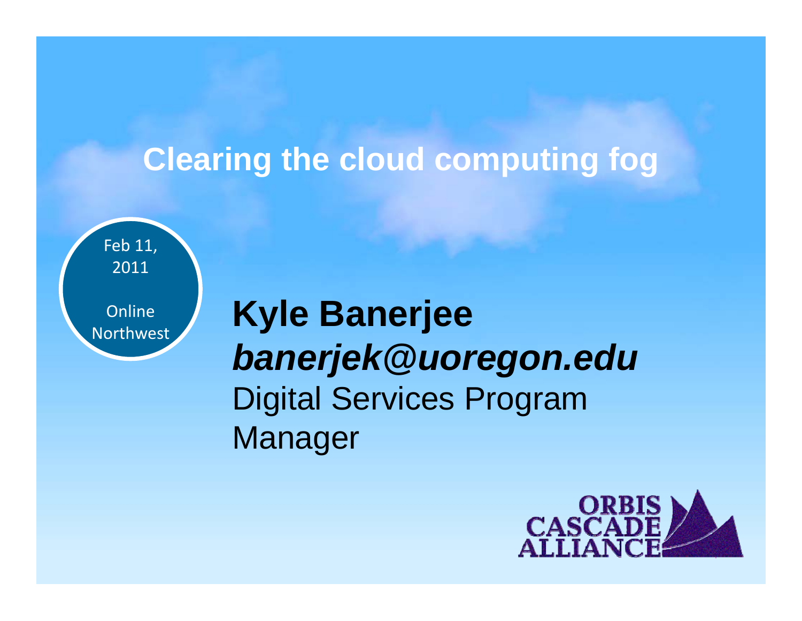#### **Clearing the cloud computing fog**



## **Kyle Banerjee**  *banerjek@uoregon.edu* Digital Services Program Manager

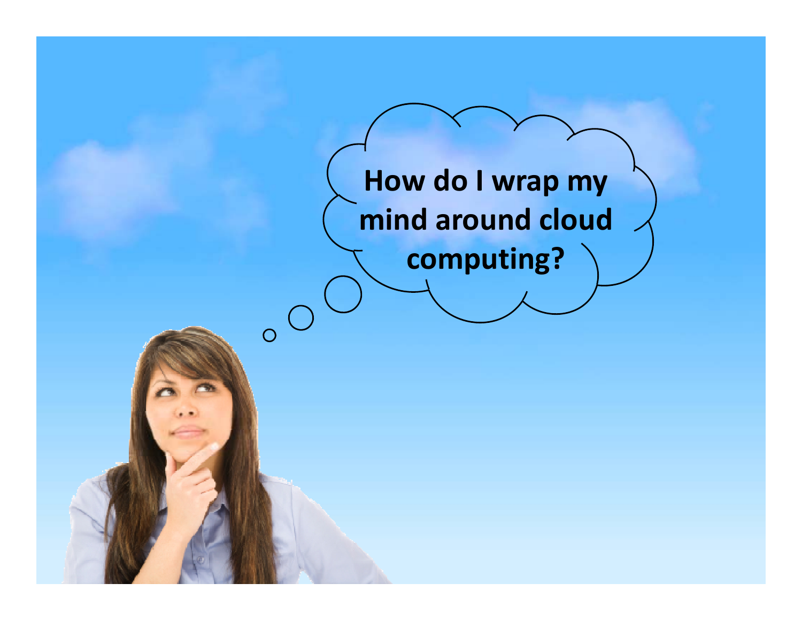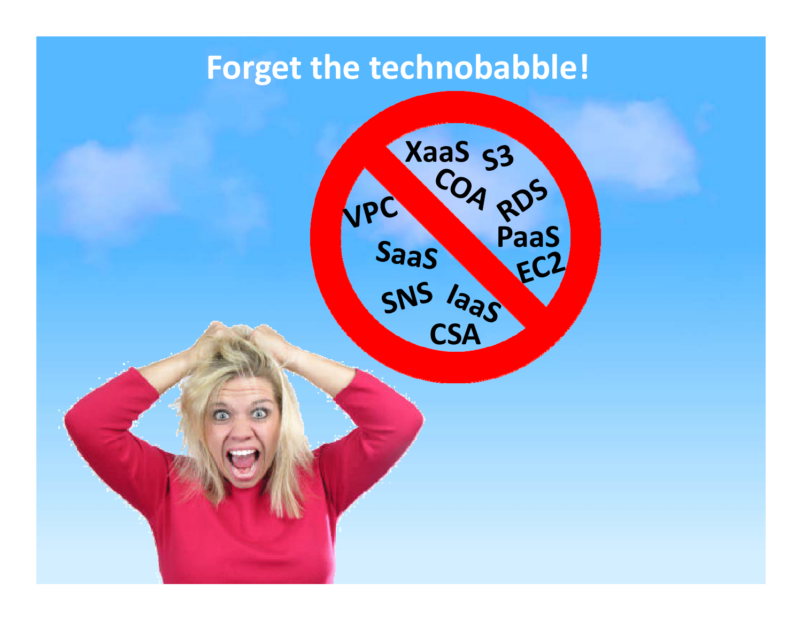#### **Forget the technobabble!**

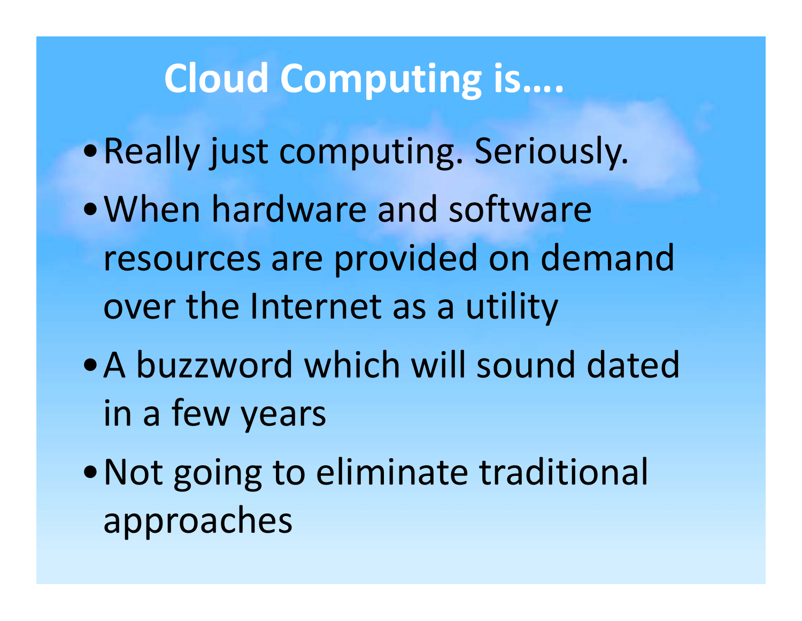#### **Cloud Computing is….**

- •Really just computing. Seriously.
- •When hardware and software resources are provided on demand over the Internet as <sup>a</sup> utility
- •A buzzword which will sound dated in <sup>a</sup> few years
- •Not going to eliminate traditional approaches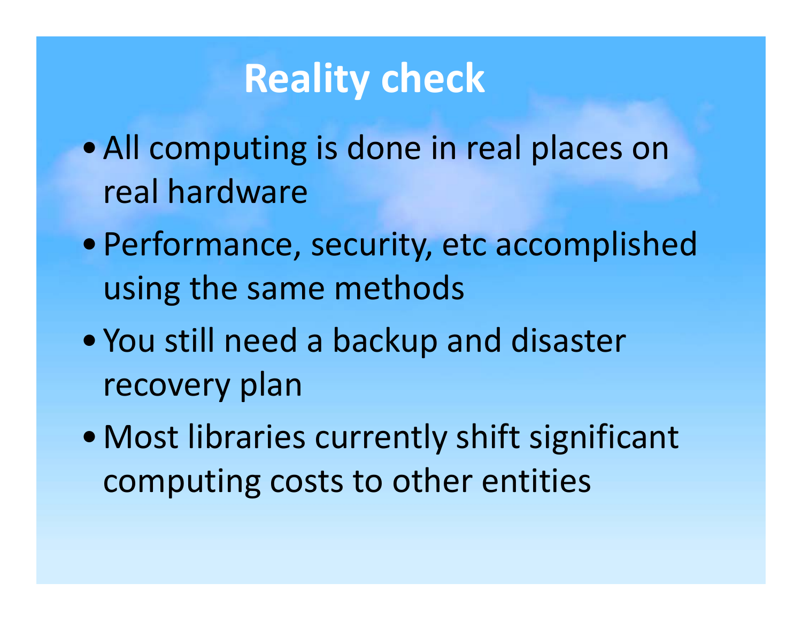# **Reality check**

- All computing is done in real places on real hardware
- Performance, security, etc accomplished using the same methods
- You still need <sup>a</sup> backup and disaster recovery plan
- •Most libraries currently shift significant computing costs to other entities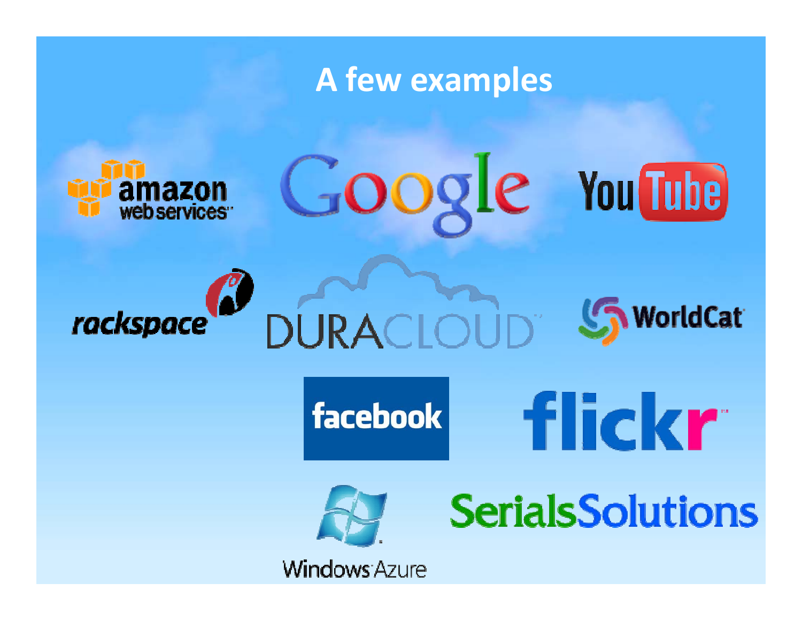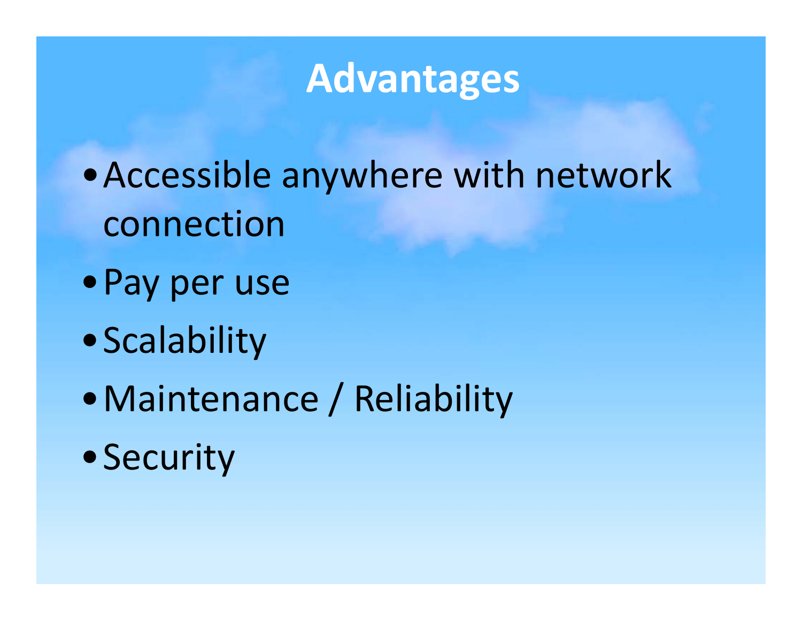## **Advantages**

- •Accessible anywhere with network connection
- •Pay per use
- •Scalability
- •Maintenance / Reliability
- •Security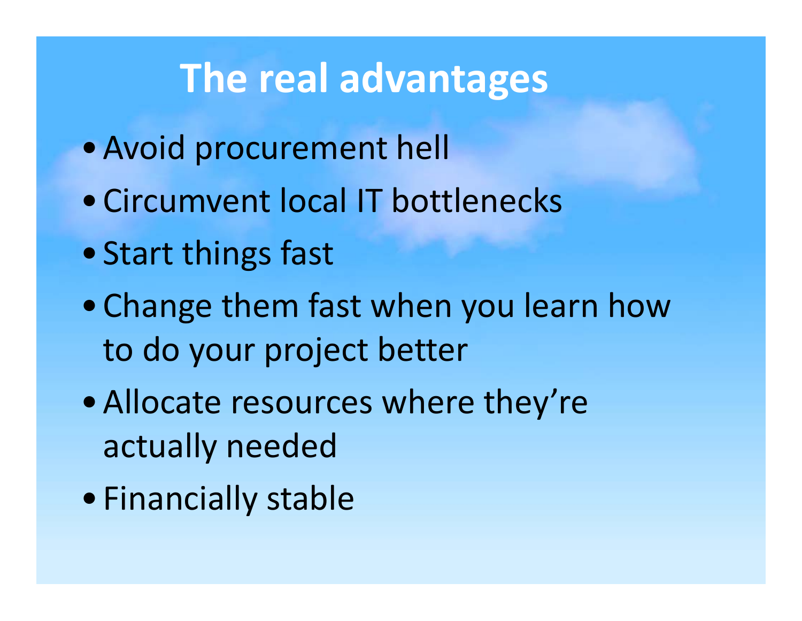#### **The real advantages**

- Avoid procurement hell
- Circumvent local IT bottlenecks
- Start things fast
- Change them fast when you learn how to do your project better
- Allocate resources where they're actually needed
- Financially stable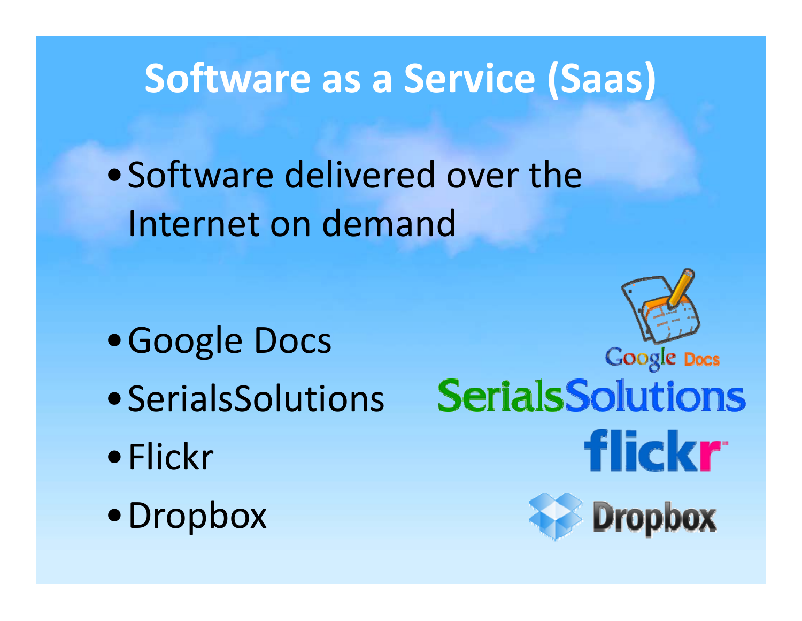## **Software as <sup>a</sup> Service (Saas)**

•Software delivered over the Internet on demand

- •Google Docs
- •SerialsSolutions
- •Flickr
- •Dropbox

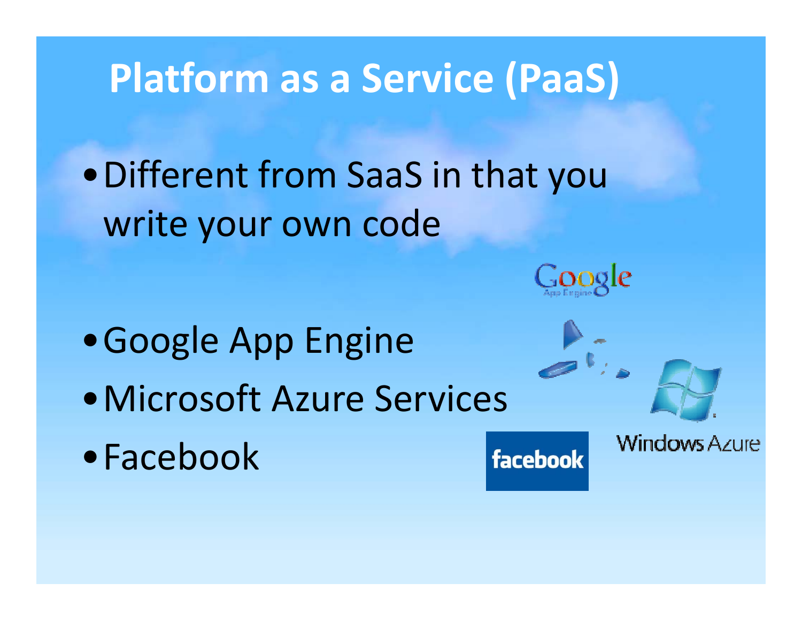## **Platform as <sup>a</sup> Service (PaaS)**

•Different from SaaS in that you write your own code

•Google App Engine •Microsoft Azure Services •Facebookfacebook



**Windows Azure**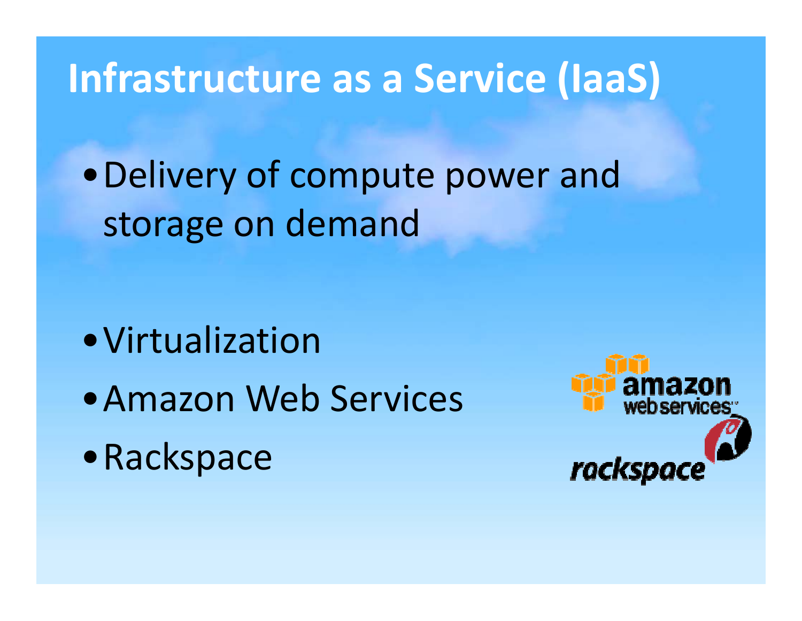#### **Infrastructure as <sup>a</sup> Service (IaaS)**

•Delivery of compute power and storage on demand

- •Virtualization
- •Amazon Web Services
- •Rackspace

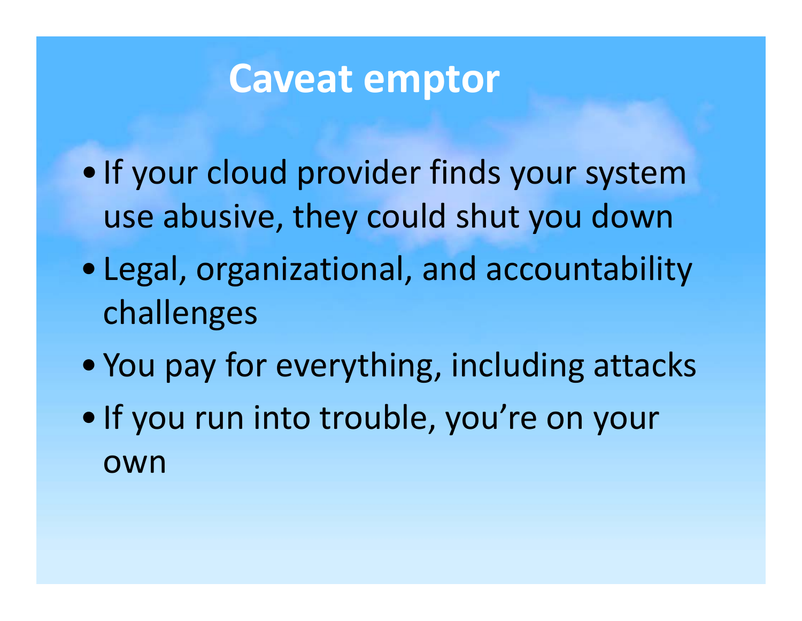#### **Caveat emptor**

- If your cloud provider finds your system use abusive, they could shut you down
- Legal, organizational, and accountability challenges
- You pay for everything, including attacks
- If you run into trouble, you're on your own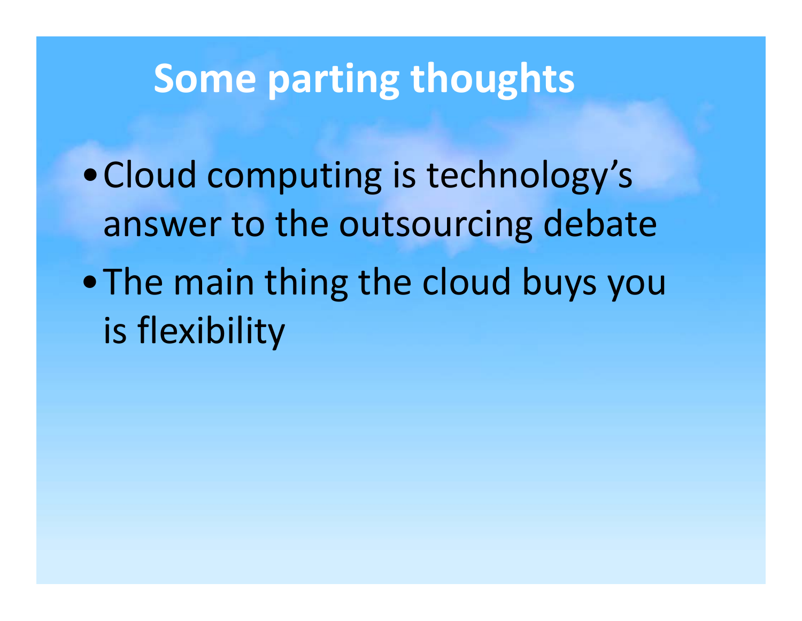## **Some parting thoughts**

- •Cloud computing is technology's answer to the outsourcing debate
- •The main thing the cloud buys you is flexibility